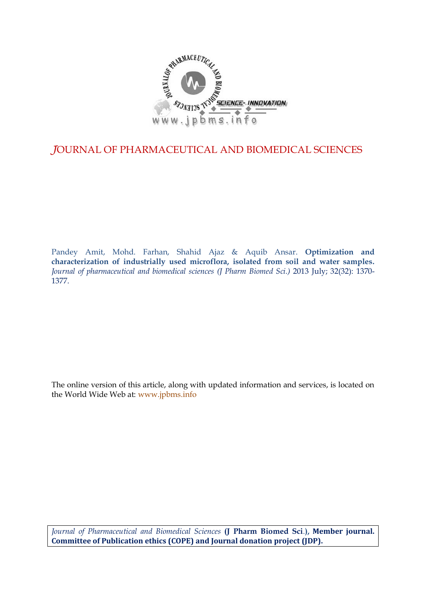

# *J*OURNAL OF PHARMACEUTICAL AND BIOMEDICAL SCIENCES

Pandey Amit, Mohd. Farhan, Shahid Ajaz & Aquib Ansar. **Optimization and characterization of industrially used microflora, isolated from soil and water samples.** *Journal of pharmaceutical and biomedical sciences (J Pharm Biomed Sci.)* 2013 July; 32(32): 1370- 1377.

The online version of this article, along with updated information and services, is located on the World Wide Web at: www.jpbms.info

*Journal of Pharmaceutical and Biomedical Sciences* **(J Pharm Biomed Sci**.**), Member journal. Committee of Publication ethics (COPE) and Journal donation project (JDP).**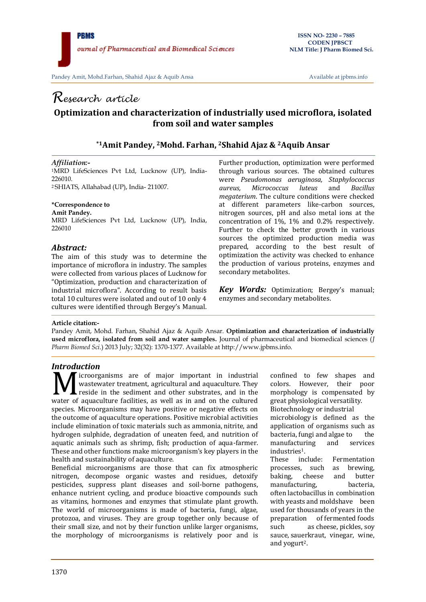# *Research article* **Optimization and characterization of industrially used microflora, isolated from soil and water samples**

# **\*1Amit Pandey, <sup>2</sup>Mohd. Farhan, <sup>2</sup>Shahid Ajaz & <sup>2</sup>Aquib Ansar**

### *Affiliation:-*

<sup>1</sup>MRD LifeSciences Pvt Ltd, Lucknow (UP), India-226010 <sup>2</sup> SHIATS, Allahabad (UP), India- 211007.

#### **\*Correspondence to**

**Amit Pandey.** MRD LifeSciences Pvt Ltd, Lucknow (UP), India, 226010

# *Abstract:*

The aim of this study was to determine the importance of microflora in industry. The samples were collected from various places of Lucknow for "Optimization, production and characterization of industrial microflora". According to result basis total 10 cultures were isolated and out of 10 only 4 cultures were identified through Bergey's Manual.

Further production, optimization were performed through various sources. The obtained cultures were *Pseudomonas aeruginosa, Staphylococcus aureus, Micrococcus luteus* and *Bacillus megaterium*. The culture conditions were checked at different parameters like-carbon sources, nitrogen sources, pH and also metal ions at the concentration of 1%, 1% and 0.2% respectively. Further to check the better growth in various sources the optimized production media was prepared, according to the best result of optimization the activity was checked to enhance the production of various proteins, enzymes and secondary metabolites.

*Key Words:* Optimization; Bergey's manual; enzymes and secondary metabolites.

#### **Article citation:-**

Pandey Amit, Mohd. Farhan, Shahid Ajaz & Aquib Ansar. **Optimization and characterization of industrially used microflora, isolated from soil and water samples.** Journal of pharmaceutical and biomedical sciences (*J Pharm Biomed Sci*.) 2013 July; 32(32): 1370-1377. Available at http://www.jpbms.info.

# *Introduction*

icroorganisms are of major important in industrial wastewater treatment, agricultural and aquaculture. They **L** reside in the sediment and other substrates, and in the **WE** is in the set of major important in industrial wastewater treatment, agricultural and aquaculture. They reside in the sediment and other substrates, and in the water of aquaculture facilities, as well as in and on the species. Microorganisms may have positive or negative effects on the outcome of aquaculture operations. Positive microbial activities include elimination of toxic materials such as ammonia, nitrite, and hydrogen sulphide, degradation of uneaten feed, and nutrition of aquatic animals such as shrimp, fish; production of aqua-farmer. These and other functions make microorganism's key players in the health and sustainability of aquaculture.

Beneficial microorganisms are those that can fix atmospheric nitrogen, decompose organic wastes and residues, detoxify pesticides, suppress plant diseases and soil-borne pathogens, enhance nutrient cycling, and produce bioactive compounds such as vitamins, hormones and enzymes that stimulate plant growth. The world of microorganisms is made of bacteria, fungi, algae, protozoa, and viruses. They are group together only because of their small size, and not by their function unlike larger organisms, the morphology of microorganisms is relatively poor and is

confined to few shapes and colors. However, their poor morphology is compensated by great physiological versatility. Biotechnology or industrial

microbiology is defined as the application of organisms such as bacteria, [fungi](http://en.wikipedia.org/wiki/Fungi) and [algae](http://en.wikipedia.org/wiki/Algae) to the<br>manufacturing and services manufacturing and services industries<sup>1</sup>.<br>These ind

include: Fermentation processes, such as brewing, baking, cheese and butter<br>manufacturing bacteria manufacturing, often [lactobacillus](http://en.wikipedia.org/wiki/Lactobacillus) in combination with [yeasts](http://en.wikipedia.org/wiki/Yeast) and moldshave been used for thousands of years in the preparation of [fermented](http://en.wikipedia.org/wiki/Fermentation_(food)) foods such as cheese, pickles, soy sauce, sauerkraut, vinegar, wine, and yogurt2.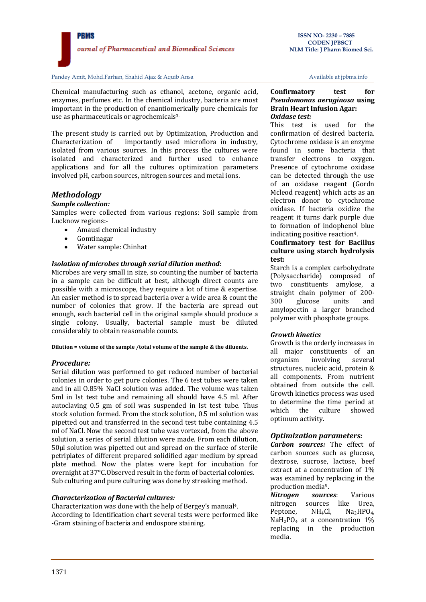

Chemical manufacturing such as ethanol, acetone, organic acid, enzymes, perfumes etc. In the chemical industry, bacteria are most important in the production of enantiomerically pure chemicals for use as pharmaceuticals or agrochemicals<sup>3.</sup>

The present study is carried out by Optimization, Production and Characterization of importantly used microflora in industry, isolated from various sources. In this process the cultures were isolated and characterized and further used to enhance applications and for all the cultures optimization parameters involved pH, carbon sources, nitrogen sources and metal ions.

# *Methodology*

#### *Sample collection:*

Samples were collected from various regions: Soil sample from Lucknow regions:-

- Amausi chemical industry
- Gomtinagar
- Water sample: Chinhat

### *Isolation of microbes through serial dilution method:*

Microbes are very small in size, so counting the number of bacteria in a sample can be difficult at best, although direct counts are possible with a microscope, they require a lot of time & expertise. An easier method is to spread bacteria over a wide area & count the number of colonies that grow. If the bacteria are spread out enough, each bacterial cell in the original sample should produce a single colony. Usually, bacterial sample must be diluted considerably to obtain reasonable counts.

**Dilution = volume of the sample /total volume of the sample & the diluents.**

#### *Procedure:*

Serial dilution was performed to get reduced number of bacterial colonies in order to get pure colonies. The 6 test tubes were taken and in all O.85% NaCl solution was added. The volume was taken 5ml in Ist test tube and remaining all should have 4.5 ml. After autoclaving 0.5 gm of soil was suspended in Ist test tube. Thus stock solution formed. From the stock solution, 0.5 ml solution was pipetted out and transferred in the second test tube containing 4.5 ml of NaCl. Now the second test tube was vortexed, from the above solution, a series of serial dilution were made. From each dilution, 50µl solution was pipetted out and spread on the surface of sterile petriplates of different prepared solidified agar medium by spread plate method. Now the plates were kept for incubation for overnight at 37°C.Observed result in the form of bacterial colonies. Sub culturing and pure culturing was done by streaking method.

#### *Characterization of Bacterial cultures:*

Characterization was done with the help of Bergey's manual4. According to Identification chart several tests were performed like -Gram staining of bacteria and endospore staining.

#### **Confirmatory test for** *Pseudomonas aeruginosa* **using Brain Heart Infusion Agar:** *Oxidase test:*

This test is used for the confirmation of desired bacteria. Cytochrome oxidase is an enzyme found in some bacteria that transfer electrons to oxygen. Presence of cytochrome oxidase can be detected through the use of an oxidase reagent (Gordn Mcleod reagent) which acts as an electron donor to cytochrome oxidase. If bacteria oxidize the reagent it turns dark purple due to formation of indophenol blue indicating positive reaction4.

#### **Confirmatory test for Bacillus culture using starch hydrolysis test:**

Starch is a complex carbohydrate (Polysaccharide) composed of two constituents amylose, a straight chain polymer of 200- 300 glucose units and amylopectin a larger branched polymer with phosphate groups.

#### *Growth kinetics*

Growth is the orderly increases in all major constituents of an organism involving several structures, nucleic acid, protein & all components. From nutrient obtained from outside the cell. Growth kinetics process was used to determine the time period at which the culture showed optimum activity.

# *Optimization parameters:*

*Carbon sources:* The effect of carbon sources such as glucose, dextrose, sucrose, lactose, beef extract at a concentration of 1% was examined by replacing in the production media5.

*Nitrogen sources*: Various nitrogen sources like Urea, Peptone,  $NH_4Cl$ ,  $Na_2HPO_4$ , NaH<sub>2</sub>PO<sub>4</sub> at a concentration 1% replacing in the production media.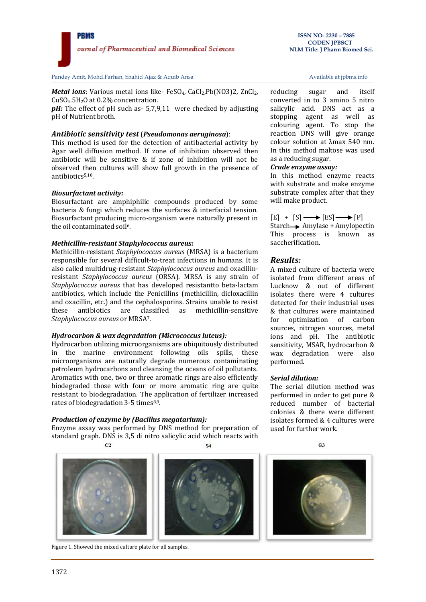**ISSN NO- 2230 – 7885**

*Metal ions*: Various metal ions like- FeSO<sub>4</sub>, CaCl<sub>2</sub>, Pb(NO3)2, ZnCl<sub>2</sub>, CuSO4.5H2O at 0.2% concentration.

*pH:* The effect of pH such as- 5,7,9,11 were checked by adjusting pH of Nutrient broth.

# *Antibiotic sensitivity test* (*Pseudomonas aeruginosa*):

This method is used for the detection of antibacterial activity by Agar well diffusion method. If zone of inhibition observed then antibiotic will be sensitive & if zone of inhibition will not be observed then cultures will show full growth in the presence of antibiotics<sup>5,10</sup>.

# *Biosurfactant activity:*

Biosurfactant are amphiphilic compounds produced by some bacteria & fungi which reduces the surfaces & interfacial tension. Biosurfactant producing micro-organism were naturally present in the oil contaminated soil6.

# *Methicillin-resistant Staphylococcus aureus:*

Methicillin-resistant *Staphylococcus aureus* (MRSA) is a bacterium responsible for several difficult-to-treat infections in humans. It is also called multidrug-resistant *Staphylococcus aureus* and oxacillinresistant *Staphylococcus aureus* (ORSA). MRSA is any strain of *Staphylococcus aureus* that has developed resistantto beta-lactam antibiotics, which include the Penicillins (methicillin, dicloxacillin and oxacillin, etc.) and the cephalosporins. Strains unable to resist these antibiotics are classified as methicillin-sensitive *Staphylococcus aureus* or MRSA7.

# *Hydrocarbon & wax degradation (Micrococcus luteus):*

Hydrocarbon utilizing microorganisms are ubiquitously distributed in the marine environment following oils spills, these microorganisms are naturally degrade numerous contaminating petroleum hydrocarbons and cleansing the oceans of oil pollutants. Aromatics with one, two or three aromatic rings are also efficiently biodegraded those with four or more aromatic ring are quite resistant to biodegradation. The application of fertilizer increased rates of biodegradation 3-5 times<sup>8,9</sup>.

# *Production of enzyme by (Bacillus megatarium):*

Enzyme assay was performed by DNS method for preparation of standard graph. DNS is 3,5 di nitro salicylic acid which reacts with

 $C<sub>2</sub>$ 





Figure 1. Showed the mixed culture plate for all samples.

reducing sugar and itself converted in to 3 amino 5 nitro salicylic acid. DNS act as a stopping agent as well as colouring agent. To stop the reaction DNS will give orange colour solution at λmax 540 nm. In this method maltose was used as a reducing sugar.

# *Crude enzyme assay:*

In this method enzyme reacts with substrate and make enzyme substrate complex after that they will make product.

 $[E] + [S] \longrightarrow [ES] \longrightarrow [P]$ Starch Amylase + Amylopectin This process is known as saccherification.

# *Results:*

A mixed culture of bacteria were isolated from different areas of Lucknow & out of different isolates there were 4 cultures detected for their industrial uses & that cultures were maintained for optimization of carbon sources, nitrogen sources, metal ions and pH. The antibiotic sensitivity, MSAR, hydrocarbon & wax degradation were also performed.

# *Serial dilution:*

The serial dilution method was performed in order to get pure & reduced number of bacterial colonies & there were different isolates formed & 4 cultures were used for further work.

 $C3$ 

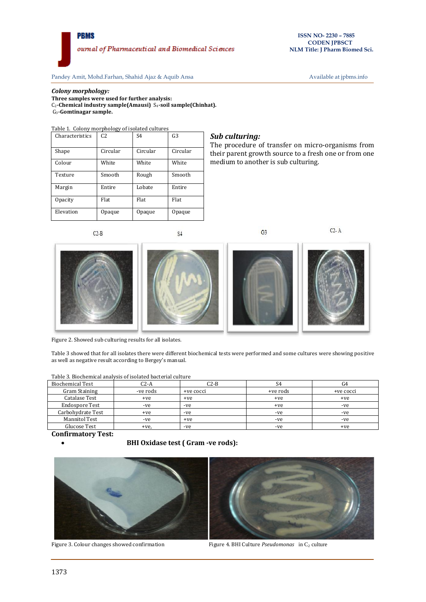#### *Colony morphology:*

**Three samples were used for further analysis:** C2**-Chemical industry sample(Amausi)** S4**-soil sample(Chinhat).** G3**-Gomtinagar sample.** 

Table 1. Colony morphology of isolated cultures

| Characteristics | C <sub>2</sub> | S <sub>4</sub> | G <sub>3</sub> |
|-----------------|----------------|----------------|----------------|
| Shape           | Circular       | Circular       | Circular       |
| Colour          | White          | White          | White          |
| Texture         | Smooth         | Rough          | Smooth         |
| Margin          | Entire         | Lobate         | Entire         |
| <b>Opacity</b>  | Flat           | Flat           | Flat           |
| Elevation       | Opaque         | Opaque         | Opaque         |

#### *Sub culturing:*

The procedure of transfer on micro-organisms from their parent growth source to a fresh one or from one medium to another is sub culturing.



 $S<sub>4</sub>$ 

 $G<sub>3</sub>$ 

 $C2 - A$ 



Figure 2. Showed sub culturing results for all isolates.

Table 3 showed that for all isolates there were different biochemical tests were performed and some cultures were showing positive as well as negative result according to Bergey's manual.

| <b>Biochemical Test</b> | C2-A     | C2-B      | S4       | G4        |
|-------------------------|----------|-----------|----------|-----------|
| Gram Staining           | -ve rods | +ve cocci | +ve rods | +ve cocci |
| Catalase Test           | +ve      | +ve       | $+ve$    | $+ve$     |
| Endospore Test          | -ve      | -ve       | $+ve$    | -ve       |
| Carbohydrate Test       | $+ve$    | -ve       | -ve      | -ve       |
| <b>Mannitol Test</b>    | -ve      | $+ve$     | -ve      | -ve       |
| Glucose Test            | +ve.     | -ve       | -ve      | $+ve$     |

#### Table 3. Biochemical analysis of isolated bacterial culture

**Confirmatory Test:**

**BHI Oxidase test ( Gram -ve rods):**





Figure 3. Colour changes showed confirmation Figure 4. BHI Culture *Pseudomonas* in C<sub>2</sub> culture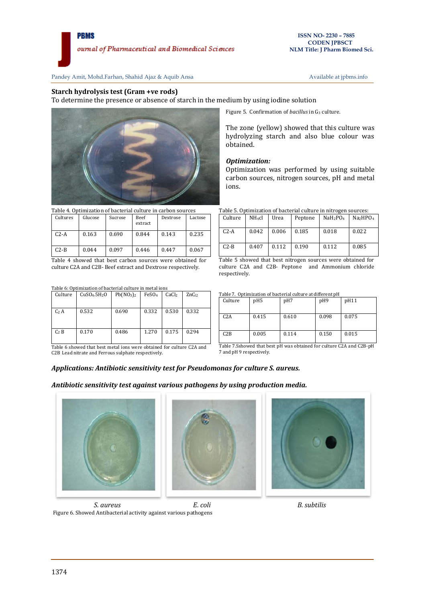#### **Starch hydrolysis test (Gram +ve rods)**

To determine the presence or absence of starch in the medium by using iodine solution



Table 4. Optimization of bacterial culture in carbon sources

| Cultures | Glucose | Sucrose | Beef<br>extract | Dextrose | Lactose |
|----------|---------|---------|-----------------|----------|---------|
| $C2-A$   | 0.163   | 0.690   | 0.844           | 0.143    | 0.235   |
| $C2-B$   | 0.044   | 0.097   | 0.446           | 0.447    | 0.067   |

Table 4 showed that best carbon sources were obtained for culture C2A and C2B- Beef extract and Dextrose respectively.

Table 6: Optimization of bacterial culture in metal ions

| Culture          | CuSO <sub>4</sub> .5H <sub>2</sub> O | Pb(NO <sub>3</sub> ) <sub>2</sub> | FeSO <sub>4</sub> | CaCl <sub>2</sub> | ZnC <sub>12</sub> |
|------------------|--------------------------------------|-----------------------------------|-------------------|-------------------|-------------------|
| C <sub>2</sub> A | 0.532                                | 0.690                             | 0.332             | 0.530             | 0.332             |
| $C_2 B$          | 0.170                                | 0.486                             | 1.270             | 0.175             | 0.294             |

Table 6 showed that best metal ions were obtained for culture C2A and C2B Lead nitrate and Ferrous sulphate respectively.

Figure 5. Confirmation of *bacillus* in G<sub>3</sub> culture.

The zone (yellow) showed that this culture was hydrolyzing starch and also blue colour was obtained.

#### *Optimization:*

Optimization was performed by using suitable carbon sources, nitrogen sources, pH and metal ions.

|  |  |  |  | Table 5. Optimization of bacterial culture in nitrogen sources: |
|--|--|--|--|-----------------------------------------------------------------|
|--|--|--|--|-----------------------------------------------------------------|

| Culture | NH <sub>4</sub> cl | Urea  | Peptone | NaH <sub>2</sub> PO <sub>4</sub> | Na <sub>2</sub> HPO <sub>4</sub> |
|---------|--------------------|-------|---------|----------------------------------|----------------------------------|
| $C2-A$  | 0.042              | 0.006 | 0.185   | 0.018                            | 0.022                            |
| $C2-B$  | 0.407              | 0.112 | 0.190   | 0.112                            | 0.085                            |

Table 5 showed that best nitrogen sources were obtained for culture C2A and C2B- Peptone and Ammonium chloride respectively.

Table 7. Optimization of bacterial culture at different pH

| Culture          | pH <sub>5</sub> | pH7   | pH9   | pH11  |
|------------------|-----------------|-------|-------|-------|
| C <sub>2</sub> A | 0.415           | 0.610 | 0.098 | 0.075 |
| C2B              | 0.005           | 0.114 | 0.150 | 0.015 |

Table 7.Sshowed that best pH was obtained for culture C2A and C2B-pH 7 and pH 9 respectively.

### *Applications: Antibiotic sensitivity test for Pseudomonas for culture S. aureus.*

*Antibiotic sensitivity test against various pathogens by using production media.* 







 *S. aureus E. coli B. subtilis* Figure 6. Showed Antibacterial activity against various pathogens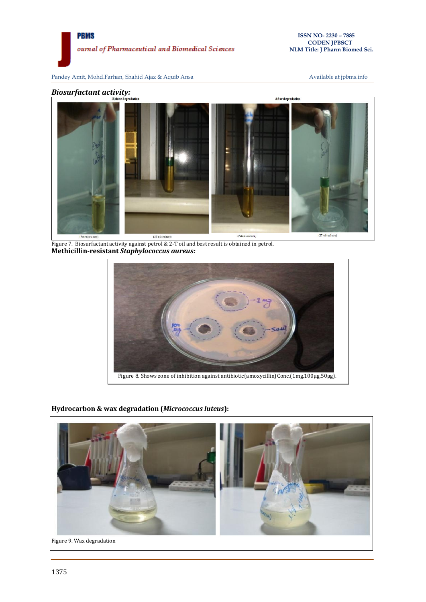



Figure 7. Biosurfactant activity against petrol & 2-T oil and best result is obtained in petrol. **Methicillin-resistant** *Staphylococcus aureus:*



# **Hydrocarbon & wax degradation (***Micrococcus luteus***):**

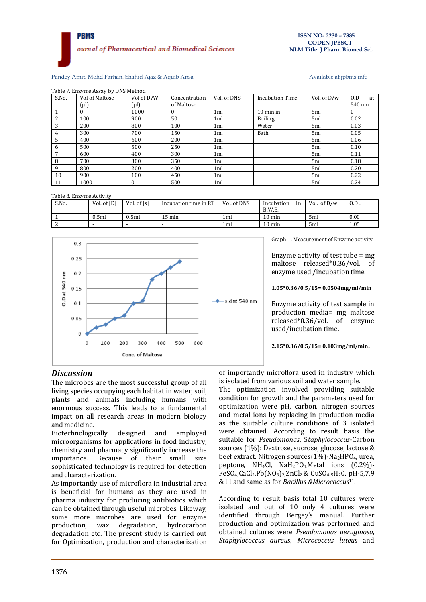Pandey Amit, Mohd.Farhan, Shahid Ajaz & Aquib Ansa

| Available at jpbms.info |  |  |
|-------------------------|--|--|

|                | Table 7. Enzyme Assay by DNS Method |            |               |                 |                        |             |           |  |  |
|----------------|-------------------------------------|------------|---------------|-----------------|------------------------|-------------|-----------|--|--|
| S.No.          | Vol of Maltose                      | Vol of D/W | Concentration | Vol. of DNS     | <b>Incubation Time</b> | Vol. of D/w | O.D<br>at |  |  |
|                | $(\mu l)$                           | (µl)       | of Maltose    |                 |                        |             | 540 nm.   |  |  |
|                |                                     | 1000       |               | 1 <sub>ml</sub> | 10 min in              | 5ml         | $\bf{0}$  |  |  |
| $\overline{2}$ | 100                                 | 900        | 50            | 1 <sub>ml</sub> | <b>Boiling</b>         | 5ml         | 0.02      |  |  |
| 3              | 200                                 | 800        | 100           | 1 <sub>ml</sub> | Water                  | 5ml         | 0.03      |  |  |
| 4              | 300                                 | 700        | 150           | 1 <sub>ml</sub> | Bath                   | 5ml         | 0.05      |  |  |
| 5              | 400                                 | 600        | 200           | 1 <sub>ml</sub> |                        | 5ml         | 0.06      |  |  |
| 6              | 500                                 | 500        | 250           | 1 <sub>ml</sub> |                        | 5ml         | 0.10      |  |  |
|                | 600                                 | 400        | 300           | 1ml             |                        | 5ml         | 0.11      |  |  |
| 8              | 700                                 | 300        | 350           | 1 <sub>ml</sub> |                        | 5ml         | 0.18      |  |  |
| 9              | 800                                 | 200        | 400           | 1 <sub>ml</sub> |                        | 5ml         | 0.20      |  |  |
| 10             | 900                                 | 100        | 450           | 1 <sub>ml</sub> |                        | 5ml         | 0.22      |  |  |
| 11             | 1000                                | $\theta$   | 500           | 1 <sub>ml</sub> |                        | 5ml         | 0.24      |  |  |

Table 8. Enzyme Activity

| S.No. | Vol. of [E] | Vol. of [s] | Incubation time in RT | Vol. of DNS | Incubation<br>in<br>B.W.B. | Vol. of $D/w$ | 0.D. |
|-------|-------------|-------------|-----------------------|-------------|----------------------------|---------------|------|
|       | 0.5ml       | 0.5ml       | $15 \text{ min}$      | 1ml         | $10 \text{ min}$           | 5ml           | 0.00 |
|       |             |             |                       | 1ml         | $10 \text{ min}$           | 5ml           | 1.05 |



Graph 1. Measurement of Enzyme activity

Enzyme activity of test tube = mg maltose released\*0.36/vol. of enzyme used /incubation time.

**1.05\*0.36/0.5/15= 0.0504mg/ml/min**

Enzyme activity of test sample in production media= mg maltose released\*0.36/vol. of enzyme used/incubation time.

**2.15\*0.36/0.5/15= 0.103mg/ml/min.**

# *Discussion*

The microbes are the most successful group of all living species occupying each habitat in water, soil, plants and animals including humans with enormous success. This leads to a fundamental impact on all research areas in modern biology and medicine.

Biotechnologically designed and employed microorganisms for applications in food industry, chemistry and pharmacy significantly increase the importance. Because of their small size sophisticated technology is required for detection and characterization.

As importantly use of microflora in industrial area is beneficial for humans as they are used in pharma industry for producing antibiotics which can be obtained through useful microbes. Likeway, some more microbes are used for enzyme production, wax degradation, hydrocarbon degradation etc. The present study is carried out for Optimization, production and characterization

of importantly microflora used in industry which is isolated from various soil and water sample.

The optimization involved providing suitable condition for growth and the parameters used for optimization were pH, carbon, nitrogen sources and metal ions by replacing in production media as the suitable culture conditions of 3 isolated were obtained. According to result basis the suitable for *Pseudomonas*, S*taphylococcus*-Carbon sources (1%): Dextrose, sucrose, glucose, lactose & beef extract. Nitrogen sources $(1\%)$ -Na<sub>2</sub>HPO<sub>4</sub>, urea, peptone, NH4Cl, NaH2PO4.Metal ions (0.2%)- FeSO<sub>4</sub>,CaCl<sub>2</sub>,Pb(NO<sub>3</sub>)<sub>2</sub>,ZnCl<sub>2</sub> & CuSO<sub>4</sub>,<sub>5</sub>H<sub>2</sub>0. pH-5,7,9 &11 and same as for *Bacillus &Micrococcus*11.

According to result basis total 10 cultures were isolated and out of 10 only 4 cultures were identified through Bergey's manual. Further production and optimization was performed and obtained cultures were *Pseudomonas aeruginosa, Staphylococcus aureus, Micrococcus luteus* and